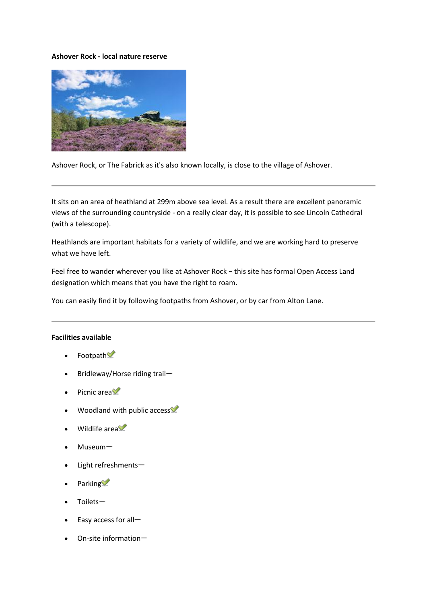## **Ashover Rock - local nature reserve**



Ashover Rock, or The Fabrick as it's also known locally, is close to the village of Ashover.

It sits on an area of heathland at 299m above sea level. As a result there are excellent panoramic views of the surrounding countryside - on a really clear day, it is possible to see Lincoln Cathedral (with a telescope).

Heathlands are important habitats for a variety of wildlife, and we are working hard to preserve what we have left.

Feel free to wander wherever you like at Ashover Rock − this site has formal Open Access Land designation which means that you have the right to roam.

You can easily find it by following footpaths from Ashover, or by car from Alton Lane.

## **Facilities available**

- Footpath
- $\bullet$  Bridleway/Horse riding trail-
- Picnic area
- Woodland with public access
- Wildlife area
- Museum
- Light refreshments
- Parking
- Toilets
- Easy access for all
- On-site information